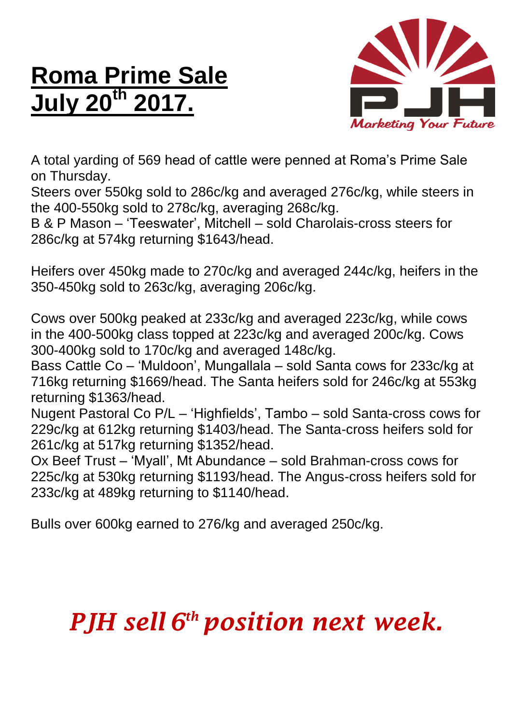## **Roma Prime Sale July 20th 2017.**



A total yarding of 569 head of cattle were penned at Roma's Prime Sale on Thursday.

Steers over 550kg sold to 286c/kg and averaged 276c/kg, while steers in the 400-550kg sold to 278c/kg, averaging 268c/kg.

B & P Mason – 'Teeswater', Mitchell – sold Charolais-cross steers for 286c/kg at 574kg returning \$1643/head.

Heifers over 450kg made to 270c/kg and averaged 244c/kg, heifers in the 350-450kg sold to 263c/kg, averaging 206c/kg.

Cows over 500kg peaked at 233c/kg and averaged 223c/kg, while cows in the 400-500kg class topped at 223c/kg and averaged 200c/kg. Cows 300-400kg sold to 170c/kg and averaged 148c/kg.

Bass Cattle Co – 'Muldoon', Mungallala – sold Santa cows for 233c/kg at 716kg returning \$1669/head. The Santa heifers sold for 246c/kg at 553kg returning \$1363/head.

Nugent Pastoral Co P/L – 'Highfields', Tambo – sold Santa-cross cows for 229c/kg at 612kg returning \$1403/head. The Santa-cross heifers sold for 261c/kg at 517kg returning \$1352/head.

Ox Beef Trust – 'Myall', Mt Abundance – sold Brahman-cross cows for 225c/kg at 530kg returning \$1193/head. The Angus-cross heifers sold for 233c/kg at 489kg returning to \$1140/head.

Bulls over 600kg earned to 276/kg and averaged 250c/kg.

## *PJH sell 6 th position next week.*